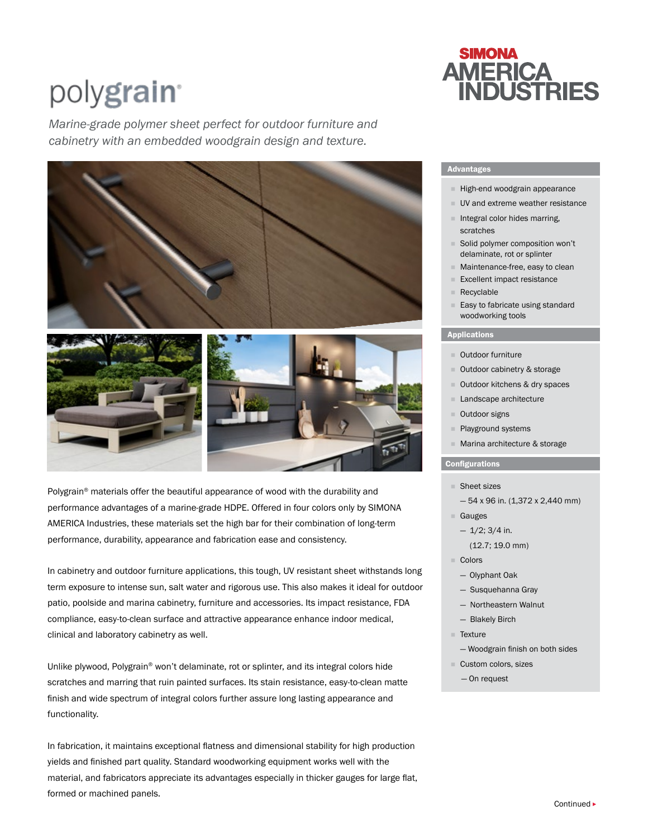# polygrain<sup>®</sup>

*Marine-grade polymer sheet perfect for outdoor furniture and cabinetry with an embedded woodgrain design and texture.* 





Polygrain® materials offer the beautiful appearance of wood with the durability and performance advantages of a marine-grade HDPE. Offered in four colors only by SIMONA AMERICA Industries, these materials set the high bar for their combination of long-term performance, durability, appearance and fabrication ease and consistency.

In cabinetry and outdoor furniture applications, this tough, UV resistant sheet withstands long term exposure to intense sun, salt water and rigorous use. This also makes it ideal for outdoor patio, poolside and marina cabinetry, furniture and accessories. Its impact resistance, FDA compliance, easy-to-clean surface and attractive appearance enhance indoor medical, clinical and laboratory cabinetry as well.

Unlike plywood, Polygrain<sup>®</sup> won't delaminate, rot or splinter, and its integral colors hide scratches and marring that ruin painted surfaces. Its stain resistance, easy-to-clean matte finish and wide spectrum of integral colors further assure long lasting appearance and functionality.

In fabrication, it maintains exceptional flatness and dimensional stability for high production yields and finished part quality. Standard woodworking equipment works well with the material, and fabricators appreciate its advantages especially in thicker gauges for large flat, formed or machined panels.

# **SIMONA AMERICA<br>INDUSTRIES**

# Advantages

- $H$ igh-end woodgrain appearance
- UV and extreme weather resistance
- $\blacksquare$  Integral color hides marring, scratches
- Solid polymer composition won't delaminate, rot or splinter
- Maintenance-free, easy to clean
- Excellent impact resistance
- Recyclable
- Easy to fabricate using standard woodworking tools

### **Applications**

- Outdoor furniture
- **Outdoor cabinetry & storage**
- Outdoor kitchens & dry spaces
- Landscape architecture
- Outdoor signs
- Playground systems
- **Marina architecture & storage**

# **Configurations**

- Sheet sizes
	- $-54$  x 96 in. (1,372 x 2,440 mm)
- Gauges
	- $-1/2$ ; 3/4 in.
		- (12.7; 19.0 mm)
- Colors
	- Olyphant Oak
	- Susquehanna Gray
	- Northeastern Walnut
	- Blakely Birch
- Texture
- Woodgrain finish on both sides
- Custom colors, sizes
	- On request